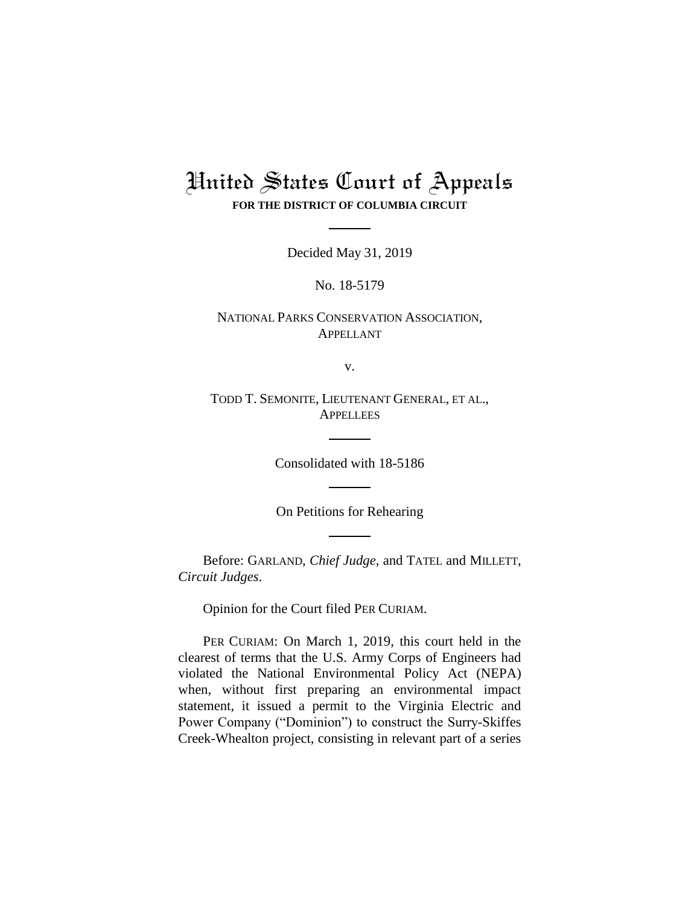## United States Court of Appeals **FOR THE DISTRICT OF COLUMBIA CIRCUIT**

Decided May 31, 2019

No. 18-5179

NATIONAL PARKS CONSERVATION ASSOCIATION, APPELLANT

v.

TODD T. SEMONITE, LIEUTENANT GENERAL, ET AL., **APPELLEES** 

Consolidated with 18-5186

On Petitions for Rehearing

Before: GARLAND, *Chief Judge*, and TATEL and MILLETT, *Circuit Judges*.

Opinion for the Court filed PER CURIAM.

PER CURIAM: On March 1, 2019, this court held in the clearest of terms that the U.S. Army Corps of Engineers had violated the National Environmental Policy Act (NEPA) when, without first preparing an environmental impact statement, it issued a permit to the Virginia Electric and Power Company ("Dominion") to construct the Surry-Skiffes Creek-Whealton project, consisting in relevant part of a series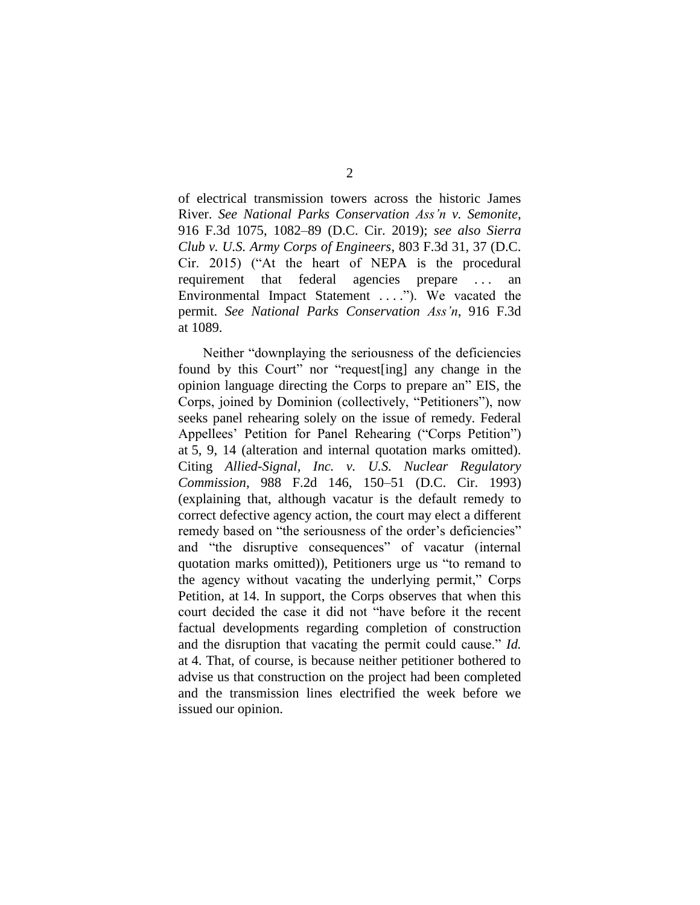of electrical transmission towers across the historic James River. *See National Parks Conservation Ass'n v. Semonite*, 916 F.3d 1075, 1082–89 (D.C. Cir. 2019); *see also Sierra Club v. U.S. Army Corps of Engineers*, 803 F.3d 31, 37 (D.C. Cir. 2015) ("At the heart of NEPA is the procedural requirement that federal agencies prepare . . . an Environmental Impact Statement . . . ."). We vacated the permit. *See National Parks Conservation Ass'n*, 916 F.3d at 1089.

Neither "downplaying the seriousness of the deficiencies found by this Court" nor "request[ing] any change in the opinion language directing the Corps to prepare an" EIS, the Corps, joined by Dominion (collectively, "Petitioners"), now seeks panel rehearing solely on the issue of remedy. Federal Appellees' Petition for Panel Rehearing ("Corps Petition") at 5, 9, 14 (alteration and internal quotation marks omitted). Citing *Allied-Signal, Inc. v. U.S. Nuclear Regulatory Commission*, 988 F.2d 146, 150–51 (D.C. Cir. 1993) (explaining that, although vacatur is the default remedy to correct defective agency action, the court may elect a different remedy based on "the seriousness of the order's deficiencies" and "the disruptive consequences" of vacatur (internal quotation marks omitted)), Petitioners urge us "to remand to the agency without vacating the underlying permit," Corps Petition, at 14. In support, the Corps observes that when this court decided the case it did not "have before it the recent factual developments regarding completion of construction and the disruption that vacating the permit could cause." *Id.* at 4. That, of course, is because neither petitioner bothered to advise us that construction on the project had been completed and the transmission lines electrified the week before we issued our opinion.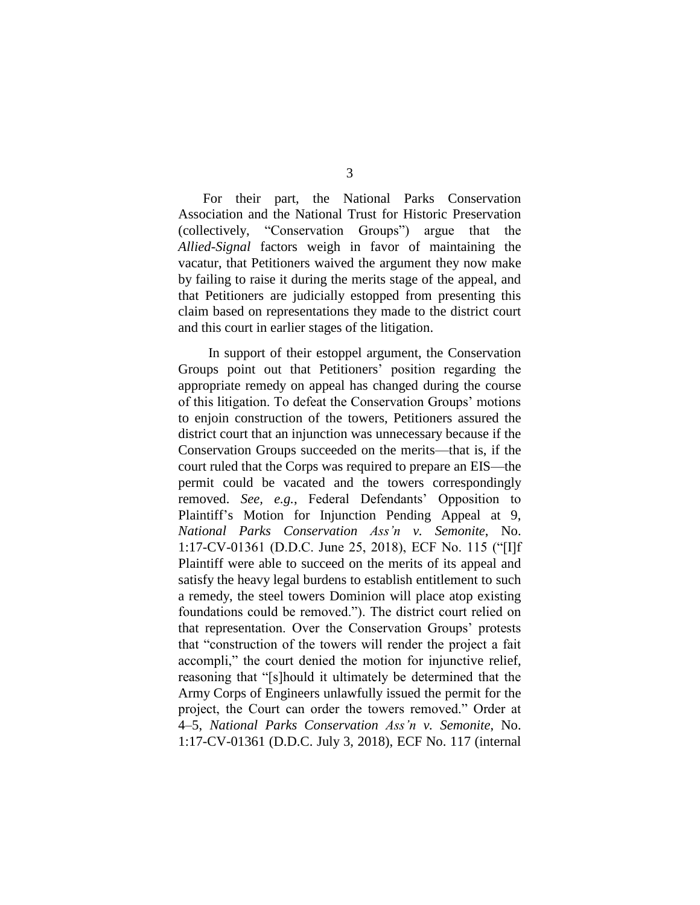For their part, the National Parks Conservation Association and the National Trust for Historic Preservation (collectively, "Conservation Groups") argue that the *Allied-Signal* factors weigh in favor of maintaining the vacatur, that Petitioners waived the argument they now make by failing to raise it during the merits stage of the appeal, and that Petitioners are judicially estopped from presenting this claim based on representations they made to the district court and this court in earlier stages of the litigation.

In support of their estoppel argument, the Conservation Groups point out that Petitioners' position regarding the appropriate remedy on appeal has changed during the course of this litigation. To defeat the Conservation Groups' motions to enjoin construction of the towers, Petitioners assured the district court that an injunction was unnecessary because if the Conservation Groups succeeded on the merits—that is, if the court ruled that the Corps was required to prepare an EIS—the permit could be vacated and the towers correspondingly removed. *See, e.g.*, Federal Defendants' Opposition to Plaintiff's Motion for Injunction Pending Appeal at 9, *National Parks Conservation Ass'n v. Semonite*, No. 1:17-CV-01361 (D.D.C. June 25, 2018), ECF No. 115 ("[I]f Plaintiff were able to succeed on the merits of its appeal and satisfy the heavy legal burdens to establish entitlement to such a remedy, the steel towers Dominion will place atop existing foundations could be removed."). The district court relied on that representation. Over the Conservation Groups' protests that "construction of the towers will render the project a fait accompli," the court denied the motion for injunctive relief, reasoning that "[s]hould it ultimately be determined that the Army Corps of Engineers unlawfully issued the permit for the project, the Court can order the towers removed." Order at 4–5, *National Parks Conservation Ass'n v. Semonite*, No. 1:17-CV-01361 (D.D.C. July 3, 2018), ECF No. 117 (internal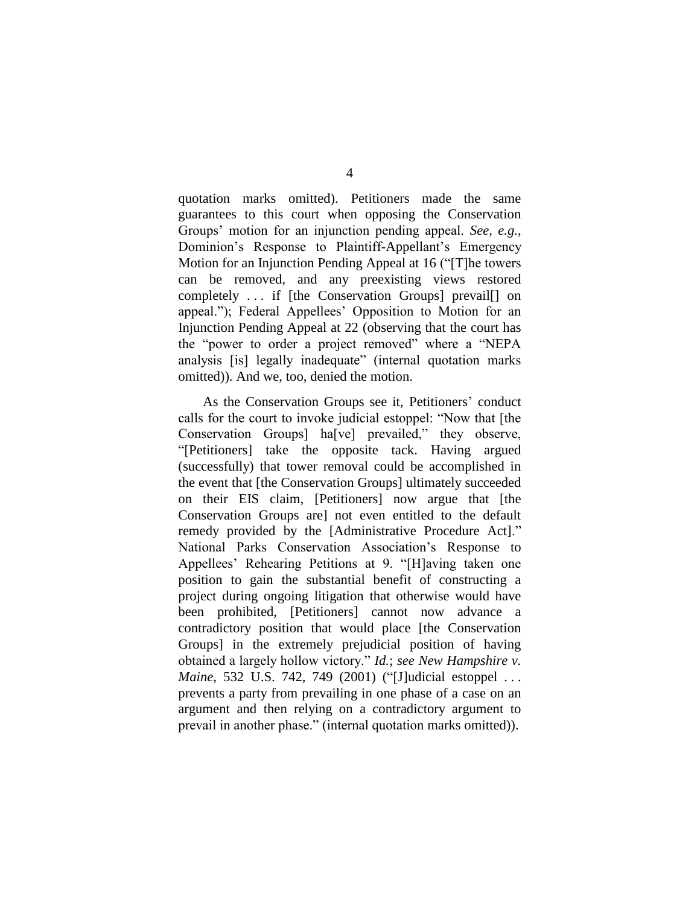quotation marks omitted). Petitioners made the same guarantees to this court when opposing the Conservation Groups' motion for an injunction pending appeal. *See, e.g.*, Dominion's Response to Plaintiff-Appellant's Emergency Motion for an Injunction Pending Appeal at 16 ("[T]he towers can be removed, and any preexisting views restored completely . . . if [the Conservation Groups] prevail[] on appeal."); Federal Appellees' Opposition to Motion for an Injunction Pending Appeal at 22 (observing that the court has the "power to order a project removed" where a "NEPA analysis [is] legally inadequate" (internal quotation marks omitted)). And we, too, denied the motion.

As the Conservation Groups see it, Petitioners' conduct calls for the court to invoke judicial estoppel: "Now that [the Conservation Groups] ha[ve] prevailed," they observe, "[Petitioners] take the opposite tack. Having argued (successfully) that tower removal could be accomplished in the event that [the Conservation Groups] ultimately succeeded on their EIS claim, [Petitioners] now argue that [the Conservation Groups are] not even entitled to the default remedy provided by the [Administrative Procedure Act]." National Parks Conservation Association's Response to Appellees' Rehearing Petitions at 9. "[H]aving taken one position to gain the substantial benefit of constructing a project during ongoing litigation that otherwise would have been prohibited, [Petitioners] cannot now advance a contradictory position that would place [the Conservation Groups] in the extremely prejudicial position of having obtained a largely hollow victory." *Id.*; *see New Hampshire v. Maine*, 532 U.S. 742, 749 (2001) ("[J]udicial estoppel . . . prevents a party from prevailing in one phase of a case on an argument and then relying on a contradictory argument to prevail in another phase." (internal quotation marks omitted)).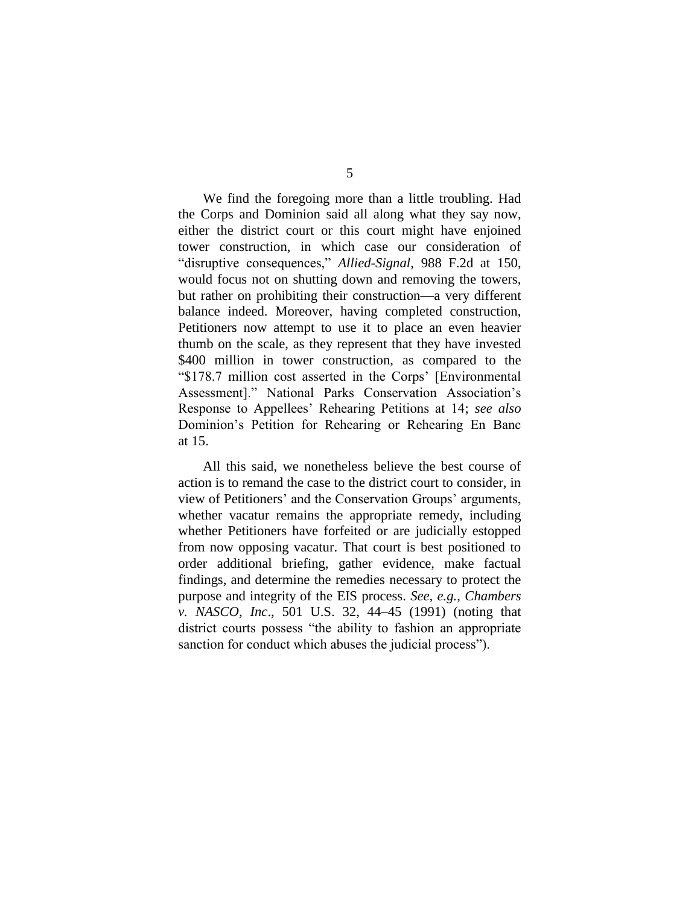We find the foregoing more than a little troubling. Had the Corps and Dominion said all along what they say now, either the district court or this court might have enjoined tower construction, in which case our consideration of "disruptive consequences," *Allied-Signal*, 988 F.2d at 150, would focus not on shutting down and removing the towers, but rather on prohibiting their construction—a very different balance indeed. Moreover, having completed construction, Petitioners now attempt to use it to place an even heavier thumb on the scale, as they represent that they have invested \$400 million in tower construction, as compared to the "\$178.7 million cost asserted in the Corps' [Environmental Assessment]." National Parks Conservation Association's Response to Appellees' Rehearing Petitions at 14; *see also*  Dominion's Petition for Rehearing or Rehearing En Banc at 15.

All this said, we nonetheless believe the best course of action is to remand the case to the district court to consider, in view of Petitioners' and the Conservation Groups' arguments, whether vacatur remains the appropriate remedy, including whether Petitioners have forfeited or are judicially estopped from now opposing vacatur. That court is best positioned to order additional briefing, gather evidence, make factual findings, and determine the remedies necessary to protect the purpose and integrity of the EIS process. *See, e.g.*, *Chambers v. NASCO, Inc*., 501 U.S. 32, 44–45 (1991) (noting that district courts possess "the ability to fashion an appropriate sanction for conduct which abuses the judicial process").